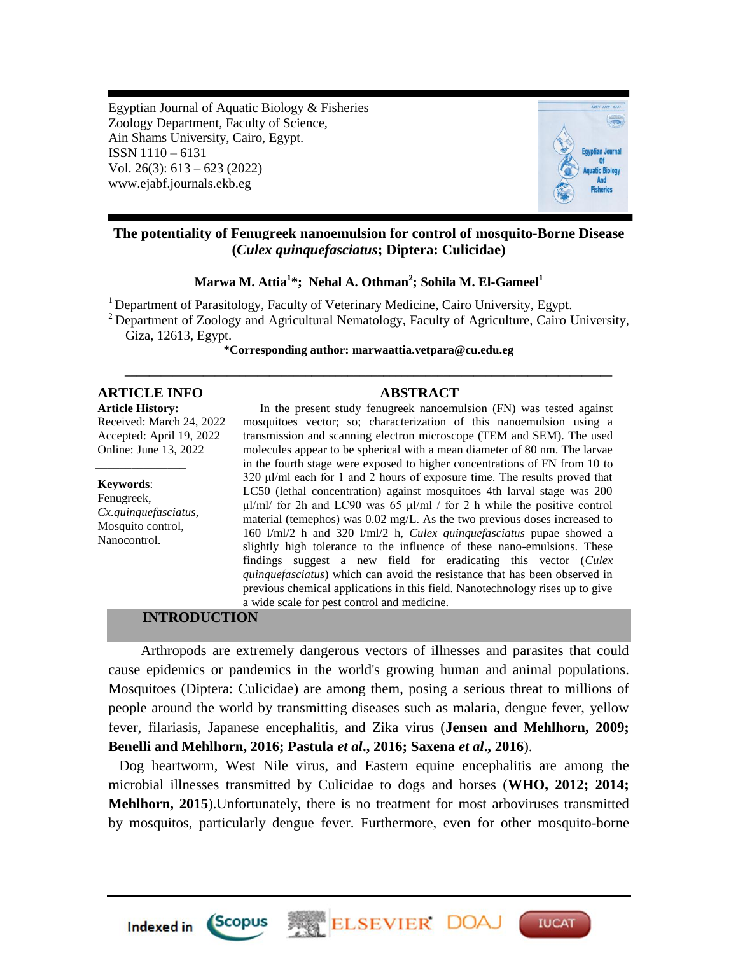Egyptian Journal of Aquatic Biology & Fisheries Zoology Department, Faculty of Science, Ain Shams University, Cairo, Egypt. ISSN 1110 – 6131 Vol. 26(3): 613 – 623 (2022) www.ejabf.journals.ekb.eg



# **The potentiality of Fenugreek nanoemulsion for control of mosquito-Borne Disease (***Culex quinquefasciatus***; Diptera: Culicidae)**

**Marwa M. Attia<sup>1</sup> \*; Nehal A. Othman<sup>2</sup> ; Sohila M. El-Gameel<sup>1</sup>**

<sup>1</sup> Department of Parasitology, Faculty of Veterinary Medicine, Cairo University, Egypt.

 $2$  Department of Zoology and Agricultural Nematology, Faculty of Agriculture, Cairo University, Giza, 12613, Egypt.

**\*Corresponding author: [marwaattia.vetpara@cu.edu.eg](mailto:marwaattia.vetpara@cu.edu.eg) \_\_\_\_\_\_\_\_\_\_\_\_\_\_\_\_\_\_\_\_\_\_\_\_\_\_\_\_\_\_\_\_\_\_\_\_\_\_\_\_\_\_\_\_\_\_\_\_\_\_\_\_\_\_\_\_\_\_\_\_\_\_\_\_\_\_\_\_\_\_\_\_\_\_\_\_\_\_\_\_\_**

# **ARTICLE INFO ABSTRACT**

**Article History:** Received: March 24, 2022 Accepted: April 19, 2022 Online: June 13, 2022

#### **Keywords**:

Fenugreek, *Cx.quinquefasciatus*, Mosquito control, Nanocontrol.

*\_\_\_\_\_\_\_\_\_\_\_\_\_\_\_*

In the present study fenugreek nanoemulsion (FN) was tested against mosquitoes vector; so; characterization of this nanoemulsion using a transmission and scanning electron microscope (TEM and SEM). The used molecules appear to be spherical with a mean diameter of 80 nm. The larvae in the fourth stage were exposed to higher concentrations of FN from 10 to 320 μl/ml each for 1 and 2 hours of exposure time. The results proved that LC50 (lethal concentration) against mosquitoes 4th larval stage was 200 μl/ml/ for 2h and LC90 was 65 μl/ml / for 2 h while the positive control material (temephos) was 0.02 mg/L. As the two previous doses increased to 160 l/ml/2 h and 320 l/ml/2 h, *Culex quinquefasciatus* pupae showed a slightly high tolerance to the influence of these nano-emulsions. These findings suggest a new field for eradicating this vector (*Culex quinquefasciatus*) which can avoid the resistance that has been observed in previous chemical applications in this field. Nanotechnology rises up to give a wide scale for pest control and medicine.

## **INTRODUCTION**

 Arthropods are extremely dangerous vectors of illnesses and parasites that could cause epidemics or pandemics in the world's growing human and animal populations. Mosquitoes (Diptera: Culicidae) are among them, posing a serious threat to millions of people around the world by transmitting diseases such as malaria, dengue fever, yellow fever, filariasis, Japanese encephalitis, and Zika virus (**Jensen and Mehlhorn, 2009; Benelli and Mehlhorn, 2016; Pastula** *et al***., 2016; Saxena** *et al***., 2016**).

 Dog heartworm, West Nile virus, and Eastern equine encephalitis are among the microbial illnesses transmitted by Culicidae to dogs and horses (**WHO, 2012; 2014; Mehlhorn, 2015**).Unfortunately, there is no treatment for most arboviruses transmitted by mosquitos, particularly dengue fever. Furthermore, even for other mosquito-borne

**ELSEVIER DO** 

**IUCAT** 

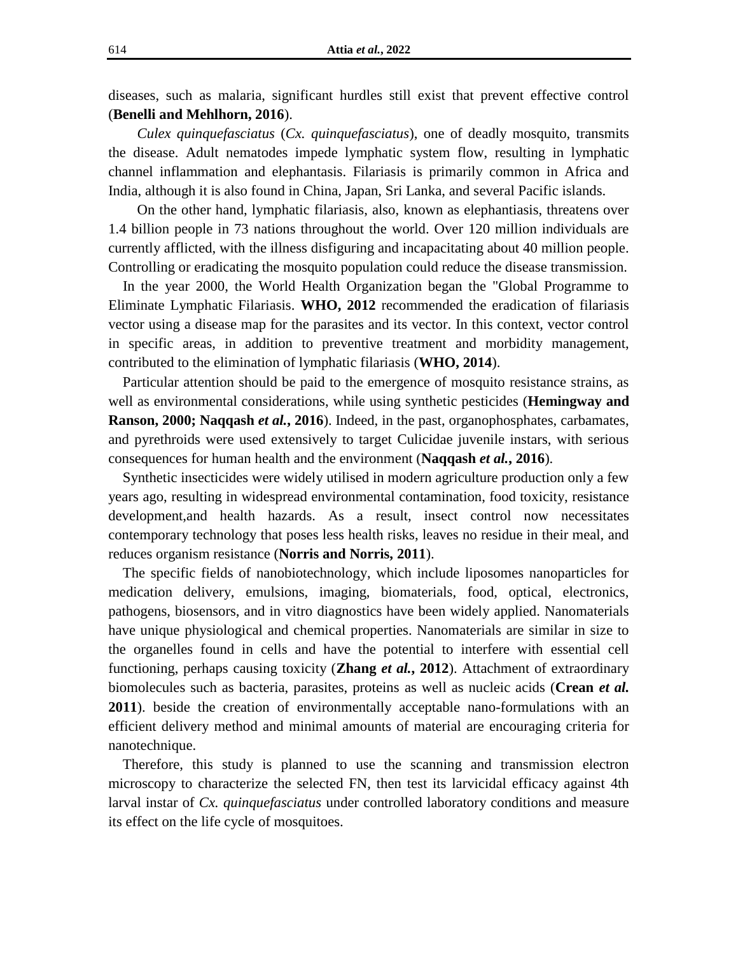diseases, such as malaria, significant hurdles still exist that prevent effective control (**Benelli and Mehlhorn, 2016**).

 *Culex quinquefasciatus* (*Cx. quinquefasciatus*), one of deadly mosquito, transmits the disease. Adult nematodes impede lymphatic system flow, resulting in lymphatic channel inflammation and elephantasis. Filariasis is primarily common in Africa and India, although it is also found in China, Japan, Sri Lanka, and several Pacific islands.

 On the other hand, lymphatic filariasis, also, known as elephantiasis, threatens over 1.4 billion people in 73 nations throughout the world. Over 120 million individuals are currently afflicted, with the illness disfiguring and incapacitating about 40 million people. Controlling or eradicating the mosquito population could reduce the disease transmission.

 In the year 2000, the World Health Organization began the "Global Programme to Eliminate Lymphatic Filariasis. **WHO, 2012** recommended the eradication of filariasis vector using a disease map for the parasites and its vector. In this context, vector control in specific areas, in addition to preventive treatment and morbidity management, contributed to the elimination of lymphatic filariasis (**WHO, 2014**).

 Particular attention should be paid to the emergence of mosquito resistance strains, as well as environmental considerations, while using synthetic pesticides (**Hemingway and Ranson, 2000; Naqqash** *et al.***, 2016**). Indeed, in the past, organophosphates, carbamates, and pyrethroids were used extensively to target Culicidae juvenile instars, with serious consequences for human health and the environment (**Naqqash** *et al.***, 2016**).

 Synthetic insecticides were widely utilised in modern agriculture production only a few years ago, resulting in widespread environmental contamination, food toxicity, resistance development,and health hazards. As a result, insect control now necessitates contemporary technology that poses less health risks, leaves no residue in their meal, and reduces organism resistance (**Norris and Norris, 2011**).

 The specific fields of nanobiotechnology, which include liposomes nanoparticles for medication delivery, emulsions, imaging, biomaterials, food, optical, electronics, pathogens, biosensors, and in vitro diagnostics have been widely applied. Nanomaterials have unique physiological and chemical properties. Nanomaterials are similar in size to the organelles found in cells and have the potential to interfere with essential cell functioning, perhaps causing toxicity (**Zhang** *et al.***, 2012**). Attachment of extraordinary biomolecules such as bacteria, parasites, proteins as well as nucleic acids (**Crean** *et al.* **2011**). beside the creation of environmentally acceptable nano-formulations with an efficient delivery method and minimal amounts of material are encouraging criteria for nanotechnique.

 Therefore, this study is planned to use the scanning and transmission electron microscopy to characterize the selected FN, then test its larvicidal efficacy against 4th larval instar of *Cx. quinquefasciatus* under controlled laboratory conditions and measure its effect on the life cycle of mosquitoes.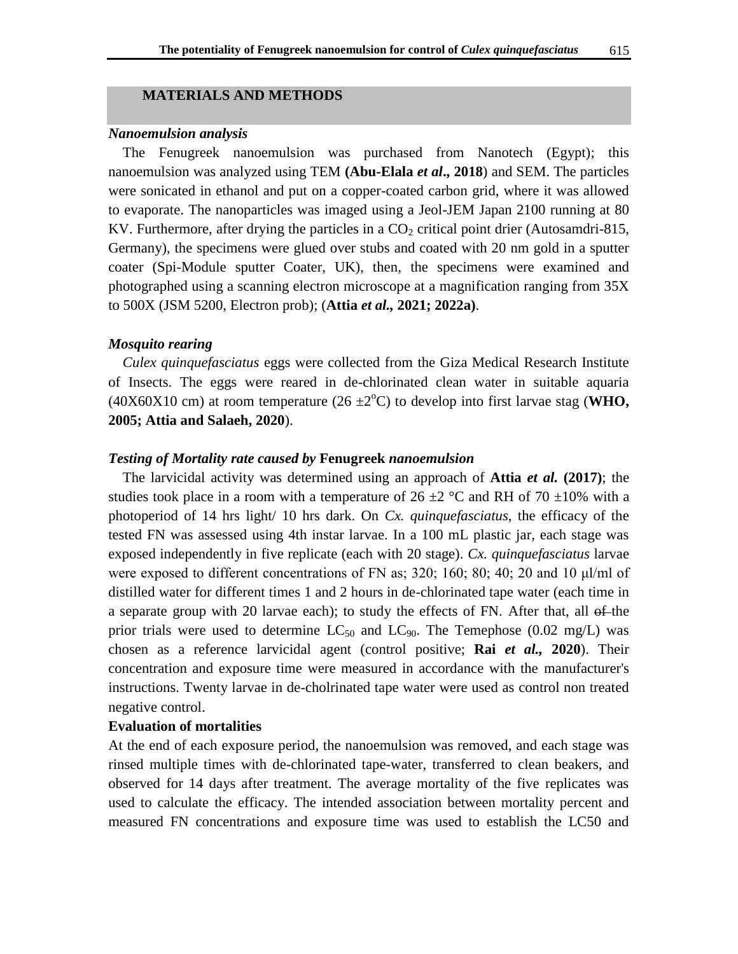## **MATERIALS AND METHODS**

#### *Nanoemulsion analysis*

 The Fenugreek nanoemulsion was purchased from Nanotech (Egypt); this nanoemulsion was analyzed using TEM **(Abu-Elala** *et al***., 2018**) and SEM. The particles were sonicated in ethanol and put on a copper-coated carbon grid, where it was allowed to evaporate. The nanoparticles was imaged using a Jeol-JEM Japan 2100 running at 80 KV. Furthermore, after drying the particles in a  $CO<sub>2</sub>$  critical point drier (Autosamdri-815, Germany), the specimens were glued over stubs and coated with 20 nm gold in a sputter coater (Spi-Module sputter Coater, UK), then, the specimens were examined and photographed using a scanning electron microscope at a magnification ranging from 35X to 500X (JSM 5200, Electron prob); (**Attia** *et al.,* **2021; 2022a)**.

## *Mosquito rearing*

 *Culex quinquefasciatus* eggs were collected from the Giza Medical Research Institute of Insects. The eggs were reared in de-chlorinated clean water in suitable aquaria (40X60X10 cm) at room temperature (26  $\pm$ 2<sup>o</sup>C) to develop into first larvae stag (**WHO**, **2005; Attia and Salaeh, 2020**).

## *Testing of Mortality rate caused by* **Fenugreek** *nanoemulsion*

 The larvicidal activity was determined using an approach of **Attia** *et al.* **(2017)**; the studies took place in a room with a temperature of  $26 \pm 2$  °C and RH of 70  $\pm 10$ % with a photoperiod of 14 hrs light/ 10 hrs dark. On *Cx. quinquefasciatus*, the efficacy of the tested FN was assessed using 4th instar larvae. In a 100 mL plastic jar, each stage was exposed independently in five replicate (each with 20 stage). *Cx. quinquefasciatus* larvae were exposed to different concentrations of FN as; 320; 160; 80; 40; 20 and 10  $\mu$ l/ml of distilled water for different times 1 and 2 hours in de-chlorinated tape water (each time in a separate group with 20 larvae each); to study the effects of FN. After that, all  $\theta$ -the prior trials were used to determine  $LC_{50}$  and  $LC_{90}$ . The Temephose (0.02 mg/L) was chosen as a reference larvicidal agent (control positive; **Rai** *et al.,* **2020**). Their concentration and exposure time were measured in accordance with the manufacturer's instructions. Twenty larvae in de-cholrinated tape water were used as control non treated negative control.

#### **Evaluation of mortalities**

At the end of each exposure period, the nanoemulsion was removed, and each stage was rinsed multiple times with de-chlorinated tape-water, transferred to clean beakers, and observed for 14 days after treatment. The average mortality of the five replicates was used to calculate the efficacy. The intended association between mortality percent and measured FN concentrations and exposure time was used to establish the LC50 and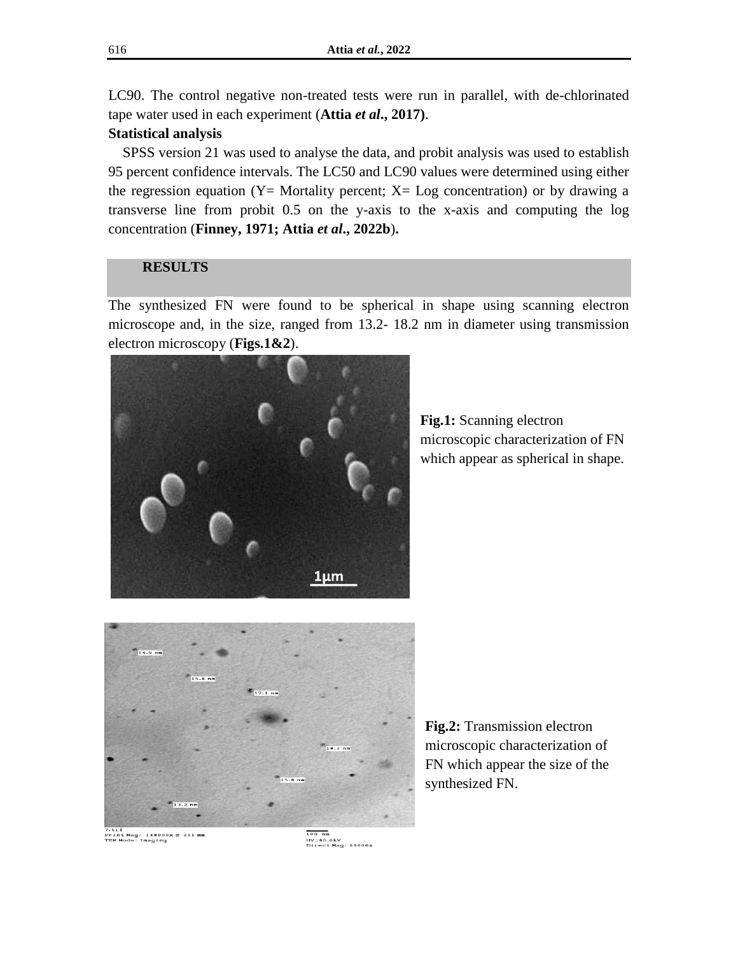LC90. The control negative non-treated tests were run in parallel, with de-chlorinated tape water used in each experiment (**Attia** *et al***., 2017)**.

# **Statistical analysis**

 SPSS version 21 was used to analyse the data, and probit analysis was used to establish 95 percent confidence intervals. The LC50 and LC90 values were determined using either the regression equation ( $Y=$  Mortality percent;  $X=$  Log concentration) or by drawing a transverse line from probit 0.5 on the y-axis to the x-axis and computing the log concentration (**Finney, 1971; Attia** *et al***., 2022b**)**.**

# **RESULTS**

The synthesized FN were found to be spherical in shape using scanning electron microscope and, in the size, ranged from 13.2- 18.2 nm in diameter using transmission electron microscopy (**Figs.1&2**).



**Fig.1:** Scanning electron microscopic characterization of FN which appear as spherical in shape.



**Fig.2:** Transmission electron microscopic characterization of FN which appear the size of the synthesized FN.

7.tif<br>Print Mag: 148000x @ 211 mm<br>TEM Mode: Imaging

 $\overline{100}$  nm --- ....<br>HV=80.0kV<br>Direct Mag: 60000x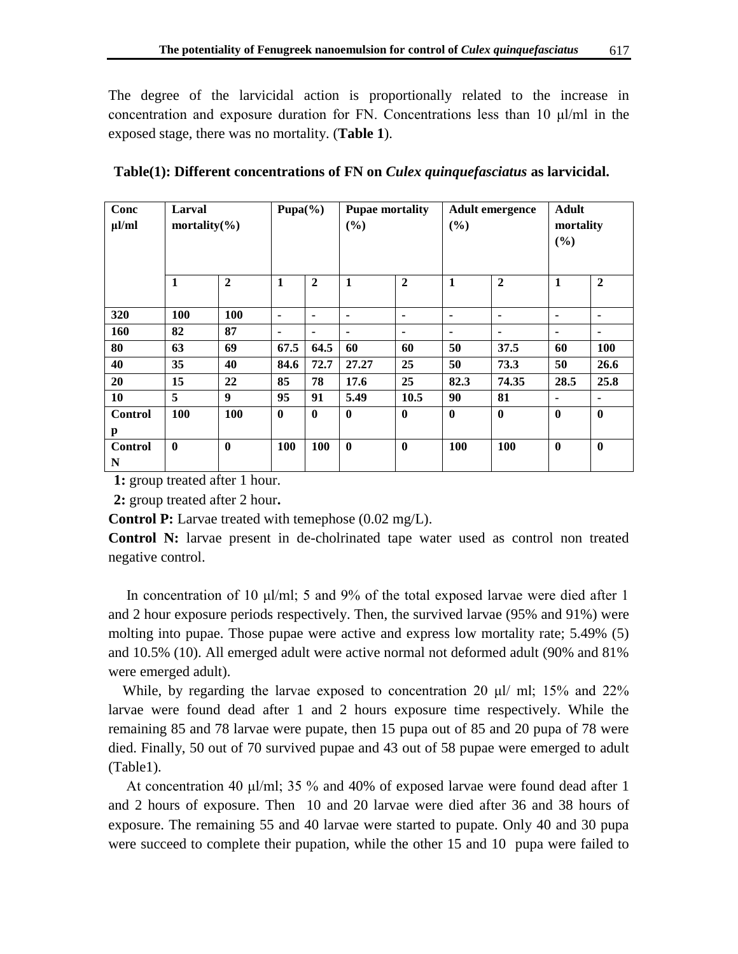The degree of the larvicidal action is proportionally related to the increase in concentration and exposure duration for FN. Concentrations less than 10 μl/ml in the exposed stage, there was no mortality. (**Table 1**).

| Conc<br>$\mu$ l/ml  | Larval<br>mortality $(\% )$ |                  | Pupa $(\% )$ |                | <b>Pupae mortality</b><br>(%) |              | <b>Adult emergence</b><br>(%) |              | <b>Adult</b><br>mortality<br>(%) |                |
|---------------------|-----------------------------|------------------|--------------|----------------|-------------------------------|--------------|-------------------------------|--------------|----------------------------------|----------------|
|                     | $\mathbf{1}$                | $\mathbf{2}$     | $\mathbf{1}$ | $\overline{2}$ | $\mathbf{1}$                  | $\mathbf{2}$ | $\mathbf{1}$                  | $\mathbf{2}$ | $\mathbf{1}$                     | $\overline{2}$ |
| 320                 | 100                         | 100              | ۰            | $\blacksquare$ | ٠                             | ۰            | ٠                             | ۰            | ٠                                |                |
| 160                 | 82                          | 87               | ۰            | $\blacksquare$ | ۰                             | ۰            |                               | ۰            | ۰                                |                |
| 80                  | 63                          | 69               | 67.5         | 64.5           | 60                            | 60           | 50                            | 37.5         | 60                               | 100            |
| 40                  | 35                          | 40               | 84.6         | 72.7           | 27.27                         | 25           | 50                            | 73.3         | 50                               | 26.6           |
| 20                  | 15                          | 22               | 85           | 78             | 17.6                          | 25           | 82.3                          | 74.35        | 28.5                             | 25.8           |
| 10                  | 5                           | $\boldsymbol{9}$ | 95           | 91             | 5.49                          | 10.5         | 90                            | 81           | ۰                                | ۰              |
| <b>Control</b><br>p | 100                         | 100              | $\mathbf{0}$ | $\mathbf{0}$   | $\mathbf{0}$                  | $\mathbf{0}$ | $\bf{0}$                      | $\mathbf{0}$ | $\bf{0}$                         | $\bf{0}$       |
| <b>Control</b><br>N | $\bf{0}$                    | $\bf{0}$         | 100          | 100            | $\bf{0}$                      | $\bf{0}$     | 100                           | 100          | $\bf{0}$                         | $\bf{0}$       |

**Table(1): Different concentrations of FN on** *Culex quinquefasciatus* **as larvicidal.**

**1:** group treated after 1 hour.

**2:** group treated after 2 hour**.**

**Control P:** Larvae treated with temephose (0.02 mg/L).

**Control N:** larvae present in de-cholrinated tape water used as control non treated negative control.

 In concentration of 10 μl/ml; 5 and 9% of the total exposed larvae were died after 1 and 2 hour exposure periods respectively. Then, the survived larvae (95% and 91%) were molting into pupae. Those pupae were active and express low mortality rate; 5.49% (5) and 10.5% (10). All emerged adult were active normal not deformed adult (90% and 81% were emerged adult).

While, by regarding the larvae exposed to concentration 20  $\mu$ I/ ml; 15% and 22% larvae were found dead after 1 and 2 hours exposure time respectively. While the remaining 85 and 78 larvae were pupate, then 15 pupa out of 85 and 20 pupa of 78 were died. Finally, 50 out of 70 survived pupae and 43 out of 58 pupae were emerged to adult (Table1).

 At concentration 40 μl/ml; 35 % and 40% of exposed larvae were found dead after 1 and 2 hours of exposure. Then 10 and 20 larvae were died after 36 and 38 hours of exposure. The remaining 55 and 40 larvae were started to pupate. Only 40 and 30 pupa were succeed to complete their pupation, while the other 15 and 10 pupa were failed to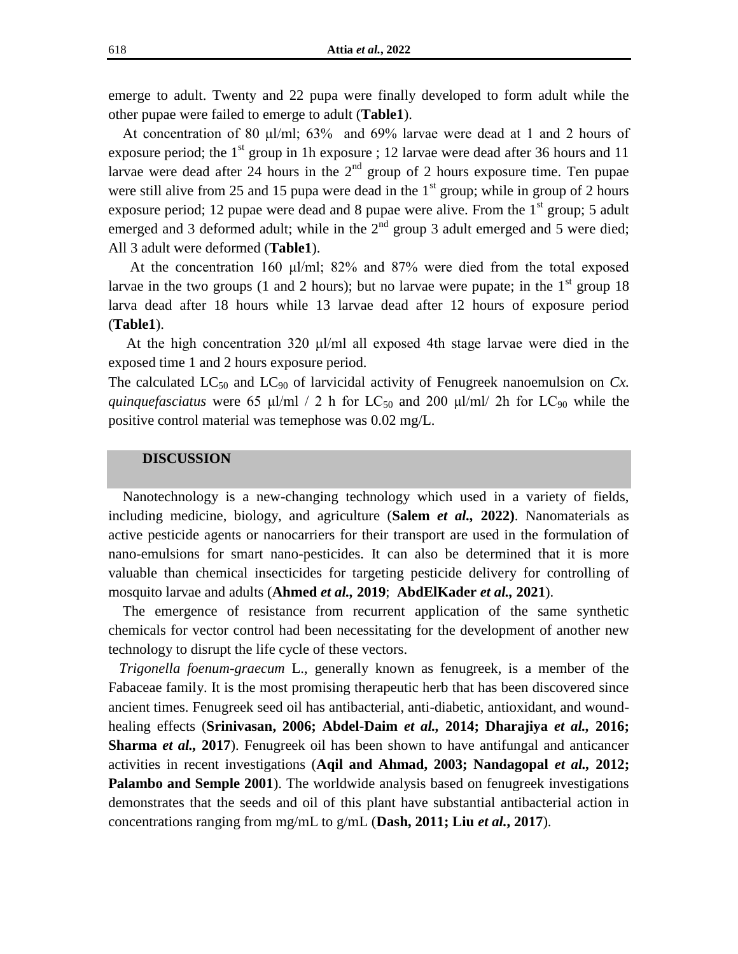emerge to adult. Twenty and 22 pupa were finally developed to form adult while the other pupae were failed to emerge to adult (**Table1**).

 At concentration of 80 μl/ml; 63% and 69% larvae were dead at 1 and 2 hours of exposure period; the  $1<sup>st</sup>$  group in 1h exposure ; 12 larvae were dead after 36 hours and 11 larvae were dead after 24 hours in the  $2<sup>nd</sup>$  group of 2 hours exposure time. Ten pupae were still alive from 25 and 15 pupa were dead in the  $1<sup>st</sup>$  group; while in group of 2 hours exposure period; 12 pupae were dead and 8 pupae were alive. From the  $1<sup>st</sup>$  group; 5 adult emerged and 3 deformed adult; while in the  $2<sup>nd</sup>$  group 3 adult emerged and 5 were died; All 3 adult were deformed (**Table1**).

 At the concentration 160 μl/ml; 82% and 87% were died from the total exposed larvae in the two groups (1 and 2 hours); but no larvae were pupate; in the  $1<sup>st</sup>$  group 18 larva dead after 18 hours while 13 larvae dead after 12 hours of exposure period (**Table1**).

 At the high concentration 320 μl/ml all exposed 4th stage larvae were died in the exposed time 1 and 2 hours exposure period.

The calculated  $LC_{50}$  and  $LC_{90}$  of larvicidal activity of Fenugreek nanoemulsion on  $Cx$ . *quinquefasciatus* were 65 μl/ml / 2 h for  $LC_{50}$  and 200 μl/ml/ 2h for  $LC_{90}$  while the positive control material was temephose was 0.02 mg/L.

#### **DISCUSSION**

 Nanotechnology is a new-changing technology which used in a variety of fields, including medicine, biology, and agriculture (**Salem** *et al.,* **2022)**. Nanomaterials as active pesticide agents or nanocarriers for their transport are used in the formulation of nano-emulsions for smart nano-pesticides. It can also be determined that it is more valuable than chemical insecticides for targeting pesticide delivery for controlling of mosquito larvae and adults (**Ahmed** *et al.,* **2019**; **AbdElKader** *et al.,* **2021**).

 The emergence of resistance from recurrent application of the same synthetic chemicals for vector control had been necessitating for the development of another new technology to disrupt the life cycle of these vectors.

 *Trigonella foenum-graecum* L., generally known as fenugreek, is a member of the Fabaceae family. It is the most promising therapeutic herb that has been discovered since ancient times. Fenugreek seed oil has antibacterial, anti-diabetic, antioxidant, and woundhealing effects (**Srinivasan, 2006; Abdel-Daim** *et al.,* **2014; Dharajiya** *et al.,* **2016; Sharma** *et al.,* **2017**). Fenugreek oil has been shown to have antifungal and anticancer activities in recent investigations (**Aqil and Ahmad, 2003; Nandagopal** *et al.,* **2012; Palambo and Semple 2001**). The worldwide analysis based on fenugreek investigations demonstrates that the seeds and oil of this plant have substantial antibacterial action in concentrations ranging from mg/mL to g/mL (**Dash, 2011; Liu** *et al.***, 2017**).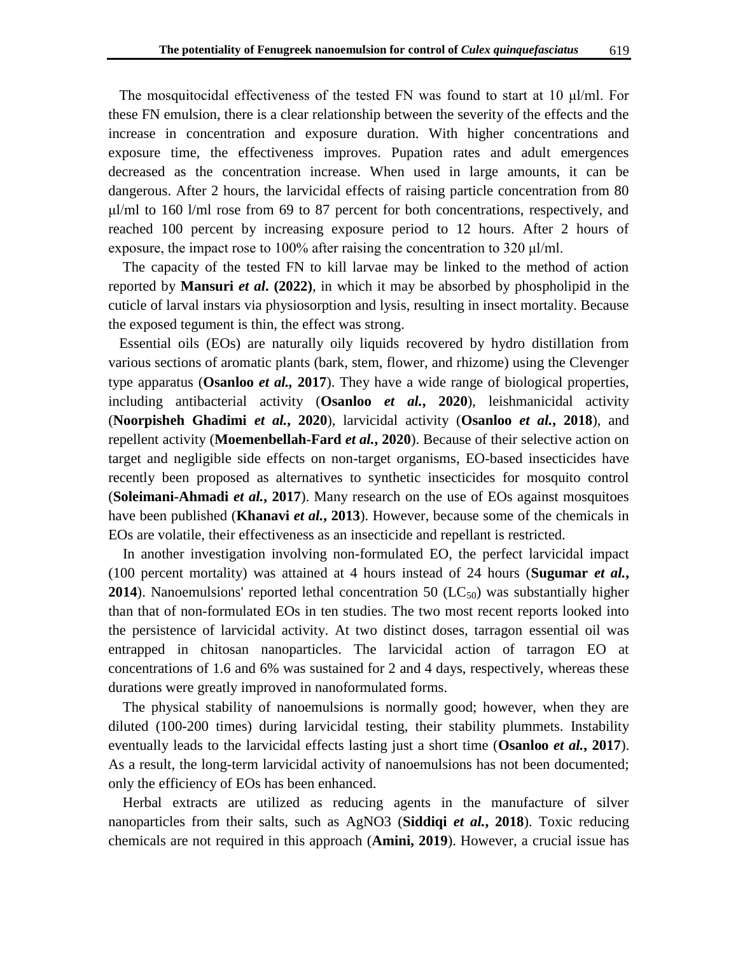The mosquitocidal effectiveness of the tested FN was found to start at 10  $\mu$ l/ml. For these FN emulsion, there is a clear relationship between the severity of the effects and the increase in concentration and exposure duration. With higher concentrations and exposure time, the effectiveness improves. Pupation rates and adult emergences decreased as the concentration increase. When used in large amounts, it can be dangerous. After 2 hours, the larvicidal effects of raising particle concentration from 80  $\mu$ l/ml to 160 l/ml rose from 69 to 87 percent for both concentrations, respectively, and reached 100 percent by increasing exposure period to 12 hours. After 2 hours of exposure, the impact rose to 100% after raising the concentration to 320 μl/ml.

 The capacity of the tested FN to kill larvae may be linked to the method of action reported by **Mansuri** *et al***. (2022)**, in which it may be absorbed by phospholipid in the cuticle of larval instars via physiosorption and lysis, resulting in insect mortality. Because the exposed tegument is thin, the effect was strong.

 Essential oils (EOs) are naturally oily liquids recovered by hydro distillation from various sections of aromatic plants (bark, stem, flower, and rhizome) using the Clevenger type apparatus (**Osanloo** *et al.,* **2017**). They have a wide range of biological properties, including antibacterial activity (**Osanloo** *et al.***, 2020**), leishmanicidal activity (**Noorpisheh Ghadimi** *et al.***, 2020**), larvicidal activity (**Osanloo** *et al.***, 2018**), and repellent activity (**Moemenbellah-Fard** *et al.***, 2020**). Because of their selective action on target and negligible side effects on non-target organisms, EO-based insecticides have recently been proposed as alternatives to synthetic insecticides for mosquito control (**Soleimani-Ahmadi** *et al.***, 2017**). Many research on the use of EOs against mosquitoes have been published (**Khanavi** *et al.***, 2013**). However, because some of the chemicals in EOs are volatile, their effectiveness as an insecticide and repellant is restricted.

 In another investigation involving non-formulated EO, the perfect larvicidal impact (100 percent mortality) was attained at 4 hours instead of 24 hours (**Sugumar** *et al.***, 2014**). Nanoemulsions' reported lethal concentration 50 ( $LC_{50}$ ) was substantially higher than that of non-formulated EOs in ten studies. The two most recent reports looked into the persistence of larvicidal activity. At two distinct doses, tarragon essential oil was entrapped in chitosan nanoparticles. The larvicidal action of tarragon EO at concentrations of 1.6 and 6% was sustained for 2 and 4 days, respectively, whereas these durations were greatly improved in nanoformulated forms.

 The physical stability of nanoemulsions is normally good; however, when they are diluted (100-200 times) during larvicidal testing, their stability plummets. Instability eventually leads to the larvicidal effects lasting just a short time (**Osanloo** *et al.***, 2017**). As a result, the long-term larvicidal activity of nanoemulsions has not been documented; only the efficiency of EOs has been enhanced.

 Herbal extracts are utilized as reducing agents in the manufacture of silver nanoparticles from their salts, such as AgNO3 (**Siddiqi** *et al.***, 2018**). Toxic reducing chemicals are not required in this approach (**Amini, 2019**). However, a crucial issue has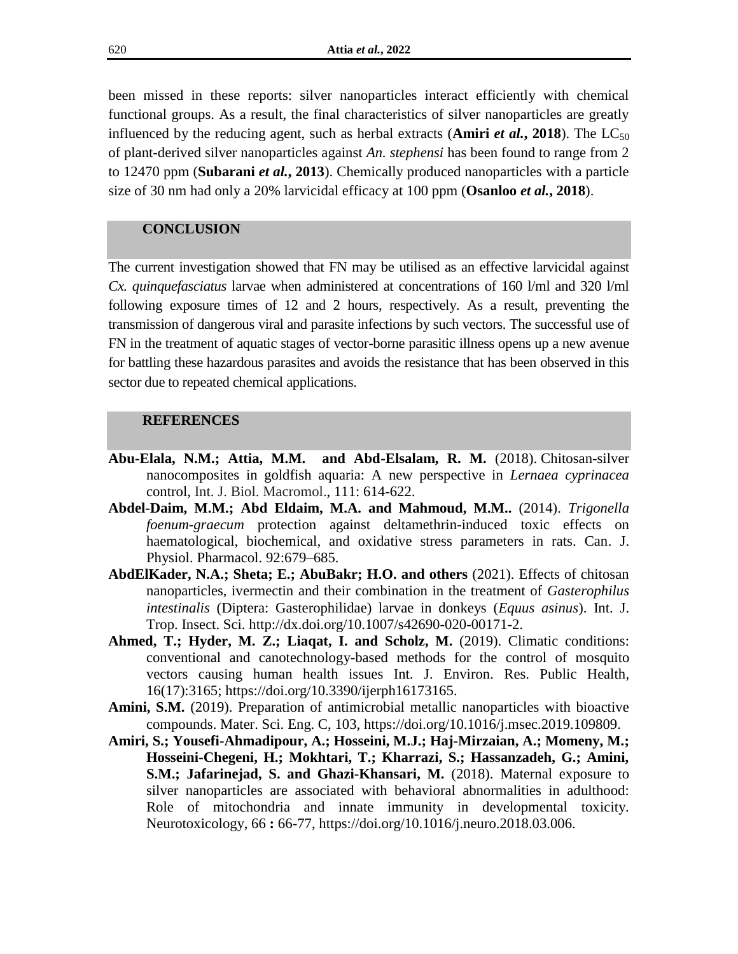been missed in these reports: silver nanoparticles interact efficiently with chemical functional groups. As a result, the final characteristics of silver nanoparticles are greatly influenced by the reducing agent, such as herbal extracts (**Amiri** *et al.***, 2018**). The LC<sub>50</sub> of plant-derived silver nanoparticles against *An. stephensi* has been found to range from 2 to 12470 ppm (**Subarani** *et al.***, 2013**). Chemically produced nanoparticles with a particle size of 30 nm had only a 20% larvicidal efficacy at 100 ppm (**Osanloo** *et al.***, 2018**).

## **CONCLUSION**

The current investigation showed that FN may be utilised as an effective larvicidal against *Cx. quinquefasciatus* larvae when administered at concentrations of 160 l/ml and 320 l/ml following exposure times of 12 and 2 hours, respectively. As a result, preventing the transmission of dangerous viral and parasite infections by such vectors. The successful use of FN in the treatment of aquatic stages of vector-borne parasitic illness opens up a new avenue for battling these hazardous parasites and avoids the resistance that has been observed in this sector due to repeated chemical applications.

#### **REFERENCES**

- **Abu-Elala, N.M.; Attia, M.M. and Abd-Elsalam, R. M.** (2018). [Chitosan-silver](http://scholar.cu.edu.eg/?q=marwaattia/publications/chitosan-silver-nanocomposites-goldfish-aquaria-newperspective-lernaea-cypri)  [nanocomposites in goldfish aquaria: A new perspective in](http://scholar.cu.edu.eg/?q=marwaattia/publications/chitosan-silver-nanocomposites-goldfish-aquaria-newperspective-lernaea-cypri) *Lernaea cyprinacea* [control,](http://scholar.cu.edu.eg/?q=marwaattia/publications/chitosan-silver-nanocomposites-goldfish-aquaria-newperspective-lernaea-cypri) Int. J. Biol. Macromol., 111: 614-622.
- **Abdel-Daim, M.M.; Abd Eldaim, M.A. and Mahmoud, M.M..** (2014). *Trigonella foenum-graecum* protection against deltamethrin-induced toxic effects on haematological, biochemical, and oxidative stress parameters in rats. Can. J. Physiol. Pharmacol. 92:679–685.
- **AbdElKader, N.A.; Sheta; E.; AbuBakr; H.O. and others** (2021). Effects of chitosan nanoparticles, ivermectin and their combination in the treatment of *Gasterophilus intestinalis* (Diptera: Gasterophilidae) larvae in donkeys (*Equus asinus*). Int. J. Trop. Insect. Sci. [http://dx.doi.org/10.1007/s42690-020-00171-2.](http://dx.doi.org/10.1007/s42690-020-00171-2)
- **[Ahmed,](https://sciprofiles.com/profile/98189) T.; [Hyder,](https://sciprofiles.com/profile/900816) M. Z.; [Liaqat,](https://sciprofiles.com/profile/805340) I. and [Scholz,](https://sciprofiles.com/profile/4375) M.** (2019). Climatic conditions: conventional and canotechnology-based methods for the control of mosquito vectors causing human health issues Int. J. Environ. Res. Public Health*,*  16(17):3165; [https://doi.org/10.3390/ijerph16173165.](https://doi.org/10.3390/ijerph16173165)
- Amini, S.M. (2019). Preparation of antimicrobial metallic nanoparticles with bioactive compounds. Mater. Sci. Eng. C, 103, https://doi.org/10.1016/j.msec.2019.109809.
- **Amiri, S.; Yousefi-Ahmadipour, A.; Hosseini, M.J.; Haj-Mirzaian, A.; Momeny, M.; Hosseini-Chegeni, H.; Mokhtari, T.; Kharrazi, S.; Hassanzadeh, G.; Amini, S.M.; Jafarinejad, S. and Ghazi-Khansari, M.** (2018). Maternal exposure to silver nanoparticles are associated with behavioral abnormalities in adulthood: Role of mitochondria and innate immunity in developmental toxicity. Neurotoxicology, 66 **:** 66-77, https://doi.org/10.1016/j.neuro.2018.03.006.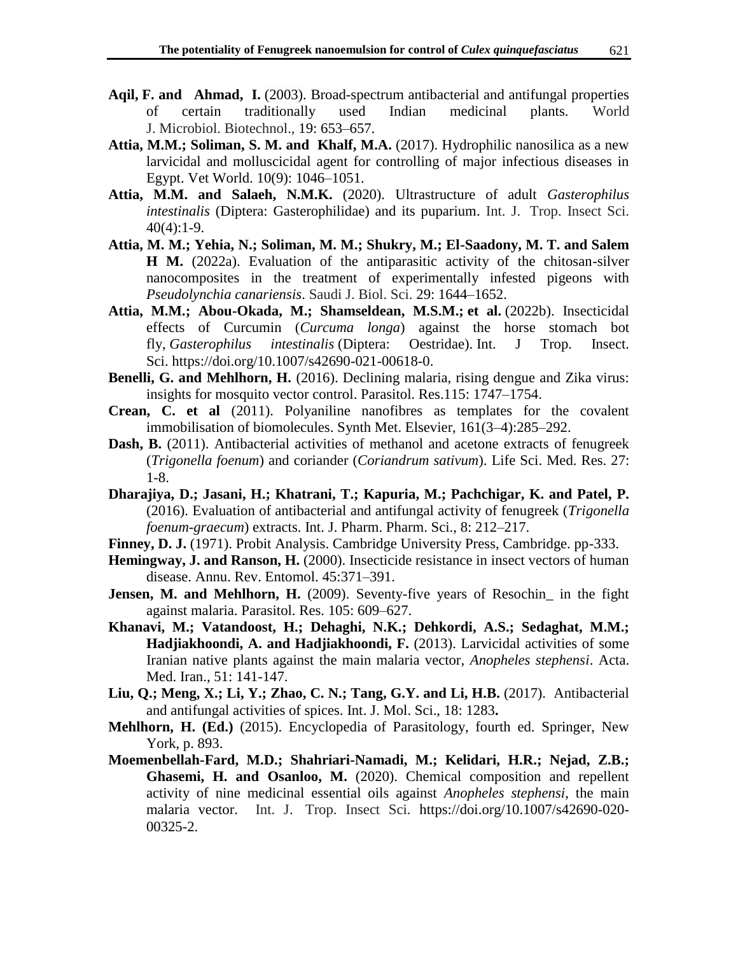- **[Aqil,](https://link.springer.com/article/10.1023/A:1025128104056#auth-Farrukh-Aqil) F. and [Ahmad,](https://link.springer.com/article/10.1023/A:1025128104056#auth-Iqbal-Ahmad) I.** (2003). Broad-spectrum antibacterial and antifungal properties of certain traditionally used Indian medicinal plants. World J. Microbiol. Biotechnol., 19: 653–657.
- **[Attia,](https://www.ncbi.nlm.nih.gov/pubmed/?term=Attia%20MM%5BAuthor%5D&cauthor=true&cauthor_uid=29062192) M.M.; [Soliman,](https://www.ncbi.nlm.nih.gov/pubmed/?term=Soliman%20SM%5BAuthor%5D&cauthor=true&cauthor_uid=29062192) S. M. and [Khalf,](https://www.ncbi.nlm.nih.gov/pubmed/?term=Khalf%20MA%5BAuthor%5D&cauthor=true&cauthor_uid=29062192) M.A.** (2017). Hydrophilic nanosilica as a new larvicidal and molluscicidal agent for controlling of major infectious diseases in Egypt. [Vet World.](https://www.ncbi.nlm.nih.gov/pmc/articles/PMC5639101/) 10(9): 1046–1051.
- **[Attia,](https://www.ncbi.nlm.nih.gov/pubmed/?term=Attia%20MM%5BAuthor%5D&cauthor=true&cauthor_uid=29062192) M.M. and [Salaeh,](https://www.researchgate.net/scientific-contributions/Nagla-MK-Salaeh-2167835790?_sg%5B0%5D=s9aZPPJWZ8nzH86TzpMKQ98FeESV2lLg2SLrtdWKU8IR7vldidjBS5QhqVRxwK5SNf0OArw.hyXrFx0EDZXLUOKTqiX1-4Yya6d8nEr6bnZeey9Rtq7rgpHCS3U_k_4GY_dmC6hT21HtWJ5gRul3VN6gCgzApA&_sg%5B1%5D=egb_nrXU5diLfJ4RvJ2BVmj96o0Pq_kJEjU_H-dHKal1w7EuDQvQFazB2qqkKAw-AYrn2ks.lGMMJ_Gls7_IyL1FluH4jHvZN_KESzfwvdylRuMqmss6KkRaYBE4gJqgyZefbyp7VqN-OLaYbaNoEzUiiQhy2g) N.M.K.** (2020). Ultrastructure of adult *Gasterophilus intestinalis* (Diptera: Gasterophilidae) and its puparium. Int. J. [Trop. Insect Sci.](https://www.researchgate.net/journal/International-Journal-of-Tropical-Insect-Science-1742-7592)  $40(4):1-9.$
- **Attia, M. M.; Yehia, N.; Soliman, M. M.; Shukry, M.; El-Saadony, M. T. and Salem H M.** (2022a). Evaluation of the antiparasitic activity of the chitosan-silver nanocomposites in the treatment of experimentally infested pigeons with *Pseudolynchia canariensis*. Saudi J. Biol. Sci. 29: 1644–1652.
- **Attia, M.M.; Abou-Okada, M.; Shamseldean, M.S.M.; et al.** (2022b). Insecticidal effects of Curcumin (*Curcuma longa*) against the horse stomach bot fly, *Gasterophilus intestinalis* (Diptera: Oestridae). Int. J Trop. Insect. Sci. https://doi.org/10.1007/s42690-021-00618-0.
- **Benelli, G. and Mehlhorn, H.** (2016). Declining malaria, rising dengue and Zika virus: insights for mosquito vector control. Parasitol. Res.115: 1747–1754.
- **Crean, C. et al** (2011). Polyaniline nanofibres as templates for the covalent immobilisation of biomolecules. Synth Met. Elsevier, 161(3–4):285–292.
- **Dash, B.** (2011). Antibacterial activities of methanol and acetone extracts of fenugreek (*Trigonella foenum*) and coriander (*Coriandrum sativum*). Life Sci. Med. Res. 27: 1-8.
- **Dharajiya, D.; Jasani, H.; Khatrani, T.; Kapuria, M.; Pachchigar, K. and Patel, P.** (2016). Evaluation of antibacterial and antifungal activity of fenugreek (*Trigonella foenum-graecum*) extracts. Int. J. Pharm. Pharm. Sci., 8: 212–217.
- Finney, D. J. (1971). Probit Analysis. Cambridge University Press, Cambridge. pp-333.
- **Hemingway, J. and Ranson, H.** (2000). Insecticide resistance in insect vectors of human disease. Annu. Rev. Entomol. 45:371–391.
- **Jensen, M. and Mehlhorn, H.** (2009). Seventy-five years of Resochin\_ in the fight against malaria. Parasitol. Res. 105: 609–627.
- **Khanavi, M.; Vatandoost, H.; Dehaghi, N.K.; Dehkordi, A.S.; Sedaghat, M.M.; Hadjiakhoondi, A. and Hadjiakhoondi, F.** (2013). Larvicidal activities of some Iranian native plants against the main malaria vector, *Anopheles stephensi*. Acta. Med. Iran., 51: 141-147.
- **Liu, Q.; Meng, X.; Li, Y.; Zhao, C. N.; Tang, G.Y. and Li, H.B.** (2017). Antibacterial and antifungal activities of spices. Int. J. Mol. Sci., 18: 1283**.**
- **Mehlhorn, H. (Ed.)** (2015). Encyclopedia of Parasitology, fourth ed. Springer, New York, p. 893.
- **Moemenbellah-Fard, M.D.; Shahriari-Namadi, M.; Kelidari, H.R.; Nejad, Z.B.; Ghasemi, H. and Osanloo, M.** (2020). Chemical composition and repellent activity of nine medicinal essential oils against *Anopheles stephensi*, the main malaria vector. Int. J. [Trop. Insect Sci.](https://www.researchgate.net/journal/International-Journal-of-Tropical-Insect-Science-1742-7592) https://doi.org/10.1007/s42690-020- 00325-2.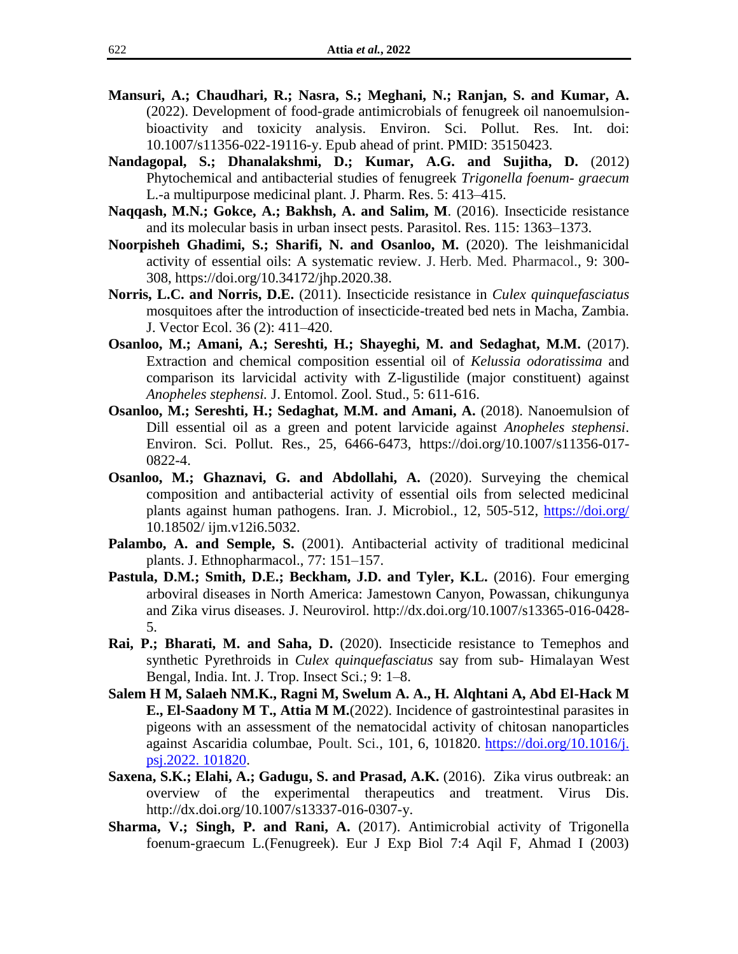- **Mansuri, A.; Chaudhari, R.; Nasra, S.; Meghani, N.; Ranjan, S. and Kumar, A.**  (2022). Development of food-grade antimicrobials of fenugreek oil nanoemulsionbioactivity and toxicity analysis. Environ. Sci. Pollut. Res. Int. doi: 10.1007/s11356-022-19116-y. Epub ahead of print. PMID: 35150423.
- **Nandagopal, S.; Dhanalakshmi, D.; Kumar, A.G. and Sujitha, D.** (2012) Phytochemical and antibacterial studies of fenugreek *Trigonella foenum- graecum* L.-a multipurpose medicinal plant. J. Pharm. Res. 5: 413–415.
- **Naqqash, M.N.; Gokce, A.; Bakhsh, A. and Salim, M**. (2016). Insecticide resistance and its molecular basis in urban insect pests. Parasitol. Res. 115: 1363–1373.
- **Noorpisheh Ghadimi, S.; Sharifi, N. and Osanloo, M.** (2020). The leishmanicidal activity of essential oils: A systematic review. J. Herb. Med. Pharmacol., 9: 300- 308, [https://doi.org/10.34172/jhp.2020.38.](https://doi.org/10.34172/jhp.2020.38)
- **Norris, L.C. and Norris, D.E.** (2011). Insecticide resistance in *Culex quinquefasciatus*  mosquitoes after the introduction of insecticide-treated bed nets in Macha, Zambia. J. Vector Ecol. 36 (2): 411–420.
- **Osanloo, M.; Amani, A.; Sereshti, H.; Shayeghi, M. and Sedaghat, M.M.** (2017). Extraction and chemical composition essential oil of *Kelussia odoratissima* and comparison its larvicidal activity with Z-ligustilide (major constituent) against *Anopheles stephensi.* J. Entomol. Zool. Stud., 5: 611-616.
- **Osanloo, M.; Sereshti, H.; Sedaghat, M.M. and Amani, A.** (2018). Nanoemulsion of Dill essential oil as a green and potent larvicide against *Anopheles stephensi*. Environ. Sci. Pollut. Res., 25, 6466-6473, https://doi.org/10.1007/s11356-017- 0822-4.
- **Osanloo, M.; Ghaznavi, G. and Abdollahi, A.** (2020). Surveying the chemical composition and antibacterial activity of essential oils from selected medicinal plants against human pathogens. Iran. J. Microbiol., 12, 505-512,<https://doi.org/> 10.18502/ ijm.v12i6.5032.
- **Palambo, A. and Semple, S.** (2001). Antibacterial activity of traditional medicinal plants. J. Ethnopharmacol., 77: 151–157.
- **Pastula, D.M.; Smith, D.E.; Beckham, J.D. and Tyler, K.L.** (2016). Four emerging arboviral diseases in North America: Jamestown Canyon, Powassan, chikungunya and Zika virus diseases. J. Neurovirol. http://dx.doi.org/10.1007/s13365-016-0428- 5.
- **Rai, P.; Bharati, M. and Saha, D.** (2020). Insecticide resistance to Temephos and synthetic Pyrethroids in *Culex quinquefasciatus* say from sub- Himalayan West Bengal, India. Int. J. Trop. Insect Sci.; 9: 1–8.
- **Salem H M, Salaeh NM.K., Ragni M, Swelum A. A., H. Alqhtani A, Abd El-Hack M E., El-Saadony M T., Attia M M.**(2022). Incidence of gastrointestinal parasites in pigeons with an assessment of the nematocidal activity of chitosan nanoparticles against Ascaridia columbae, Poult. Sci., 101, 6, 101820. [https://doi.org/10.1016/j.](https://doi.org/10.1016/j.%20psj.2022.%20101820)  [psj.2022. 101820.](https://doi.org/10.1016/j.%20psj.2022.%20101820)
- **Saxena, S.K.; Elahi, A.; Gadugu, S. and Prasad, A.K.** (2016). Zika virus outbreak: an overview of the experimental therapeutics and treatment. Virus Dis. http://dx.doi.org/10.1007/s13337-016-0307-y.
- **Sharma, V.; Singh, P. and Rani, A.** (2017). Antimicrobial activity of Trigonella foenum-graecum L.(Fenugreek). Eur J Exp Biol 7:4 Aqil F, Ahmad I (2003)